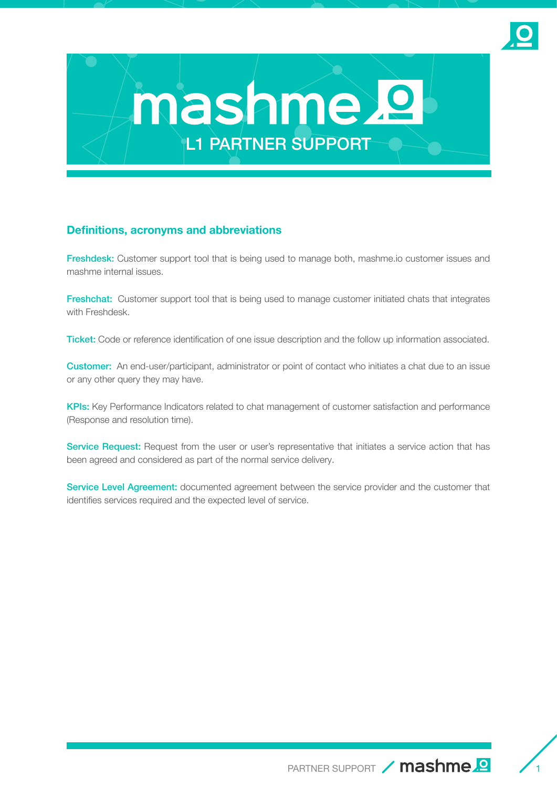



### **Definitions, acronyms and abbreviations**

Freshdesk: Customer support tool that is being used to manage both, mashme.io customer issues and mashme internal issues.

Freshchat: Customer support tool that is being used to manage customer initiated chats that integrates with Freshdesk.

Ticket: Code or reference identification of one issue description and the follow up information associated.

**Customer:** An end-user/participant, administrator or point of contact who initiates a chat due to an issue or any other query they may have.

KPIs: Key Performance Indicators related to chat management of customer satisfaction and performance (Response and resolution time).

Service Request: Request from the user or user's representative that initiates a service action that has been agreed and considered as part of the normal service delivery.

Service Level Agreement: documented agreement between the service provider and the customer that identifies services required and the expected level of service.

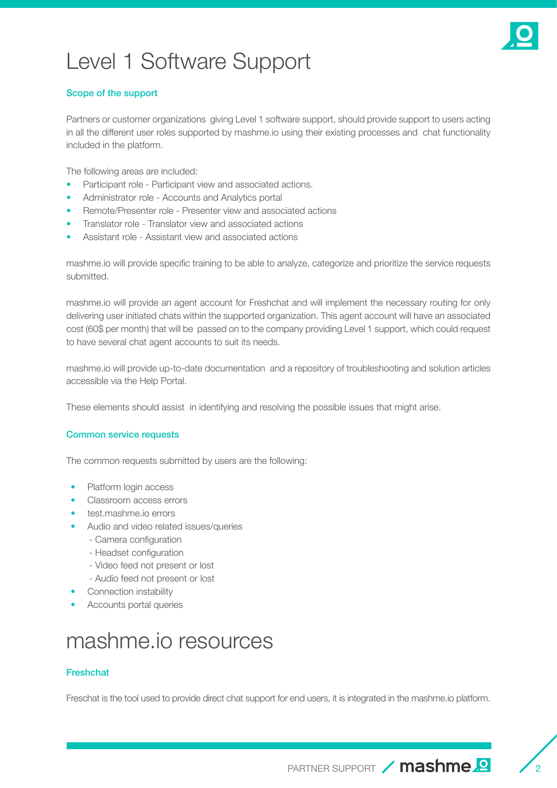# Level 1 Software Support



### Scope of the support

Partners or customer organizations giving Level 1 software support, should provide support to users acting in all the different user roles supported by mashme.io using their existing processes and chat functionality included in the platform.

The following areas are included:

- Participant role Participant view and associated actions.
- Administrator role Accounts and Analytics portal
- Remote/Presenter role Presenter view and associated actions
- Translator role Translator view and associated actions
- Assistant role Assistant view and associated actions

mashme.io will provide specific training to be able to analyze, categorize and prioritize the service requests submitted.

mashme.io will provide an agent account for Freshchat and will implement the necessary routing for only delivering user initiated chats within the supported organization. This agent account will have an associated cost (60\$ per month) that will be passed on to the company providing Level 1 support, which could request to have several chat agent accounts to suit its needs.

mashme.io will provide up-to-date documentation and a repository of troubleshooting and solution articles accessible via the Help Portal.

These elements should assist in identifying and resolving the possible issues that might arise.

#### Common service requests

The common requests submitted by users are the following:

- Platform login access
- Classroom access errors
- test.mashme.io errors
- Audio and video related issues/queries
	- Camera configuration
	- Headset configuration
	- Video feed not present or lost
	- Audio feed not present or lost
- Connection instability
- Accounts portal queries

### mashme.io resources

#### Freshchat

Freschat is the tool used to provide direct chat support for end users, it is integrated in the mashme.io platform.

PARTNER SUPPORT / mashme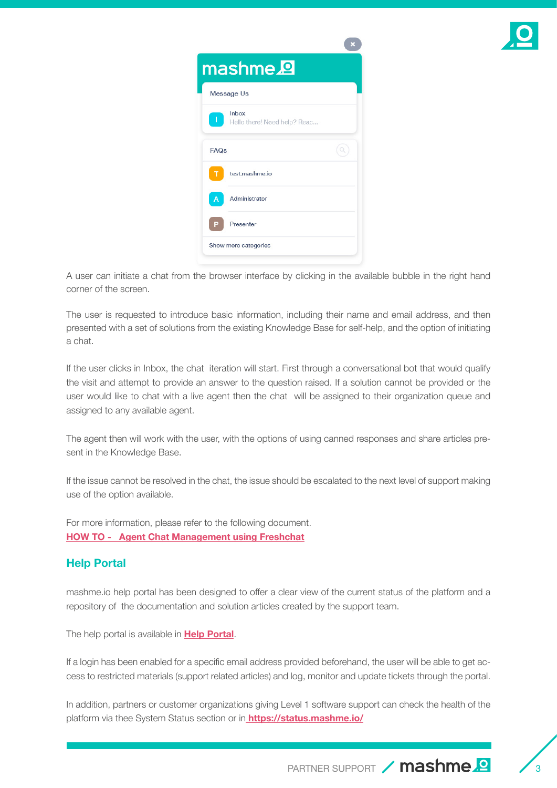

|             | mashme <sup>2</sup>                   |  |
|-------------|---------------------------------------|--|
|             | Message Us                            |  |
|             | Inbox<br>Hello there! Need help? Reac |  |
| <b>FAQs</b> |                                       |  |
|             | test.mashme.io                        |  |
| A           | Administrator                         |  |
| Р           | Presenter                             |  |
|             | Show more categories                  |  |

A user can initiate a chat from the browser interface by clicking in the available bubble in the right hand corner of the screen.

The user is requested to introduce basic information, including their name and email address, and then presented with a set of solutions from the existing Knowledge Base for self-help, and the option of initiating a chat.

If the user clicks in Inbox, the chat iteration will start. First through a conversational bot that would qualify the visit and attempt to provide an answer to the question raised. If a solution cannot be provided or the user would like to chat with a live agent then the chat will be assigned to their organization queue and assigned to any available agent.

The agent then will work with the user, with the options of using canned responses and share articles present in the Knowledge Base.

If the issue cannot be resolved in the chat, the issue should be escalated to the next level of support making use of the option available.

For more information, please refer to the following document. **[HOW TO - Agent Chat Management using Freshchat](https://docs.google.com/document/d/1dPfnTHMAQkUpZBlcZQHjQYYslR4TC0DTsitFjLeherQ/edit#heading=h.m8to6ofy3h57)**

### **Help Portal**

mashme.io help portal has been designed to offer a clear view of the current status of the platform and a repository of the documentation and solution articles created by the support team.

The help portal is available in **[Help Portal](https://help.mashme.io/)**.

If a login has been enabled for a specific email address provided beforehand, the user will be able to get access to restricted materials (support related articles) and log, monitor and update tickets through the portal.

In addition, partners or customer organizations giving Level 1 software support can check the health of the platform via thee System Status section or in **[https://status.mashme.io/]( https://status.mashme.io/)**

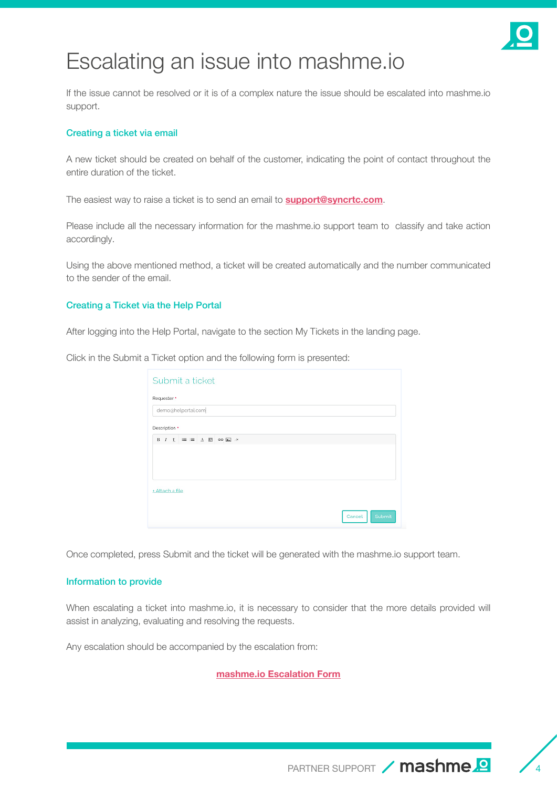

### Escalating an issue into mashme.io

If the issue cannot be resolved or it is of a complex nature the issue should be escalated into mashme.io support.

#### Creating a ticket via email

A new ticket should be created on behalf of the customer, indicating the point of contact throughout the entire duration of the ticket.

The easiest way to raise a ticket is to send an email to **[support@syncrtc.com](mailto:support%40syncrtc.com?subject=)**.

Please include all the necessary information for the mashme.io support team to classify and take action accordingly.

Using the above mentioned method, a ticket will be created automatically and the number communicated to the sender of the email.

#### Creating a Ticket via the Help Portal

After logging into the Help Portal, navigate to the section My Tickets in the landing page.

Click in the Submit a Ticket option and the following form is presented:

| Submit a ticket    |                  |
|--------------------|------------------|
| Requester *        |                  |
| demo@helportal.com |                  |
| Description *      |                  |
|                    |                  |
| + Attach a file    |                  |
|                    | Cancel<br>Submit |

Once completed, press Submit and the ticket will be generated with the mashme.io support team.

#### Information to provide

When escalating a ticket into mashme.io, it is necessary to consider that the more details provided will assist in analyzing, evaluating and resolving the requests.

Any escalation should be accompanied by the escalation from:

**mashme.io [Escalation Form](https://docs.google.com/document/d/1EVMHf4kKGeftyE0zddOm6X_HTgNQ-vtDzXHuIrh1ElI)**

PARTNER SUPPORT / mashme.<sup>2</sup>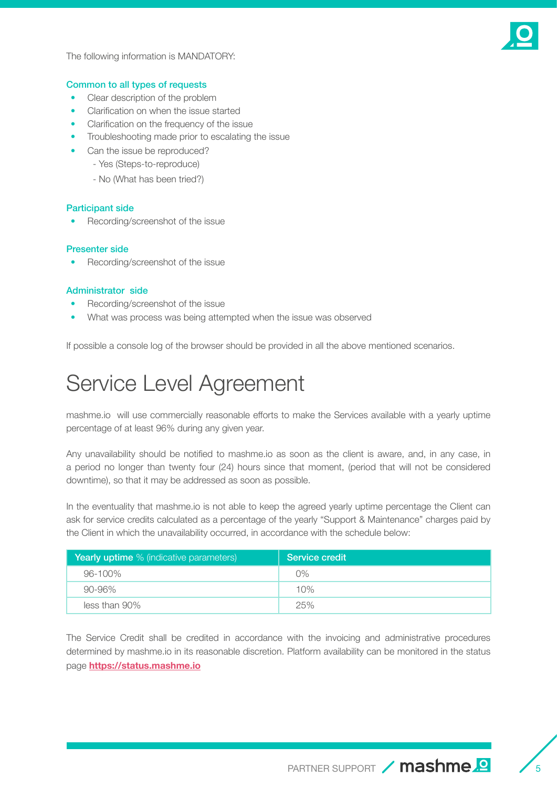

The following information is MANDATORY:

#### Common to all types of requests

- Clear description of the problem
- Clarification on when the issue started
- Clarification on the frequency of the issue
- Troubleshooting made prior to escalating the issue
- Can the issue be reproduced?
	- Yes (Steps-to-reproduce)
	- No (What has been tried?)

#### Participant side

• Recording/screenshot of the issue

#### Presenter side

• Recording/screenshot of the issue

#### Administrator side

- Recording/screenshot of the issue
- What was process was being attempted when the issue was observed

If possible a console log of the browser should be provided in all the above mentioned scenarios.

## Service Level Agreement

mashme.io will use commercially reasonable efforts to make the Services available with a yearly uptime percentage of at least 96% during any given year.

Any unavailability should be notified to mashme.io as soon as the client is aware, and, in any case, in a period no longer than twenty four (24) hours since that moment, (period that will not be considered downtime), so that it may be addressed as soon as possible.

In the eventuality that mashme.io is not able to keep the agreed yearly uptime percentage the Client can ask for service credits calculated as a percentage of the yearly "Support & Maintenance" charges paid by the Client in which the unavailability occurred, in accordance with the schedule below:

| <b>Yearly uptime</b> % (indicative parameters) | Service credit |
|------------------------------------------------|----------------|
| 96-100%                                        | 0%             |
| 90-96%                                         | 10%            |
| less than 90%                                  | 25%            |

The Service Credit shall be credited in accordance with the invoicing and administrative procedures determined by mashme.io in its reasonable discretion. Platform availability can be monitored in the status page **<https://status.mashme.io>**

PARTNER SUPPORT / mashme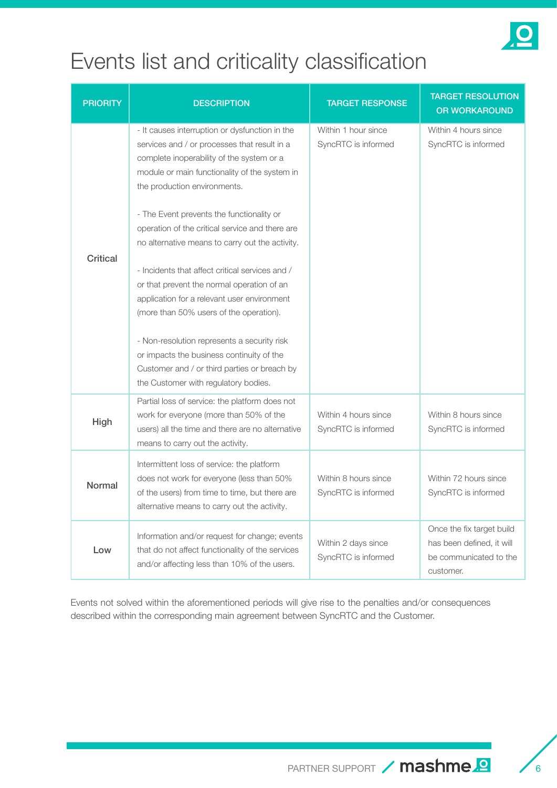

## Events list and criticality classification

| <b>PRIORITY</b> | <b>DESCRIPTION</b>                                                                                                                                                                                                                                                                                                                         | <b>TARGET RESPONSE</b>                      | <b>TARGET RESOLUTION</b><br><b>OR WORKAROUND</b>                                              |
|-----------------|--------------------------------------------------------------------------------------------------------------------------------------------------------------------------------------------------------------------------------------------------------------------------------------------------------------------------------------------|---------------------------------------------|-----------------------------------------------------------------------------------------------|
| <b>Critical</b> | - It causes interruption or dysfunction in the<br>services and / or processes that result in a<br>complete inoperability of the system or a<br>module or main functionality of the system in<br>the production environments.                                                                                                               | Within 1 hour since<br>SyncRTC is informed  | Within 4 hours since<br>SyncRTC is informed                                                   |
|                 | - The Event prevents the functionality or<br>operation of the critical service and there are<br>no alternative means to carry out the activity.<br>- Incidents that affect critical services and /<br>or that prevent the normal operation of an<br>application for a relevant user environment<br>(more than 50% users of the operation). |                                             |                                                                                               |
|                 | - Non-resolution represents a security risk<br>or impacts the business continuity of the<br>Customer and / or third parties or breach by<br>the Customer with regulatory bodies.                                                                                                                                                           |                                             |                                                                                               |
| High            | Partial loss of service: the platform does not<br>work for everyone (more than 50% of the<br>users) all the time and there are no alternative<br>means to carry out the activity.                                                                                                                                                          | Within 4 hours since<br>SyncRTC is informed | Within 8 hours since<br>SyncRTC is informed                                                   |
| <b>Normal</b>   | Intermittent loss of service: the platform<br>does not work for everyone (less than 50%<br>of the users) from time to time, but there are<br>alternative means to carry out the activity.                                                                                                                                                  | Within 8 hours since<br>SyncRTC is informed | Within 72 hours since<br>SyncRTC is informed                                                  |
| Low             | Information and/or request for change; events<br>that do not affect functionality of the services<br>and/or affecting less than 10% of the users.                                                                                                                                                                                          | Within 2 days since<br>SyncRTC is informed  | Once the fix target build<br>has been defined, it will<br>be communicated to the<br>customer. |

Events not solved within the aforementioned periods will give rise to the penalties and/or consequences described within the corresponding main agreement between SyncRTC and the Customer.

PARTNER SUPPORT  $/$  mashme.<sup>2</sup>